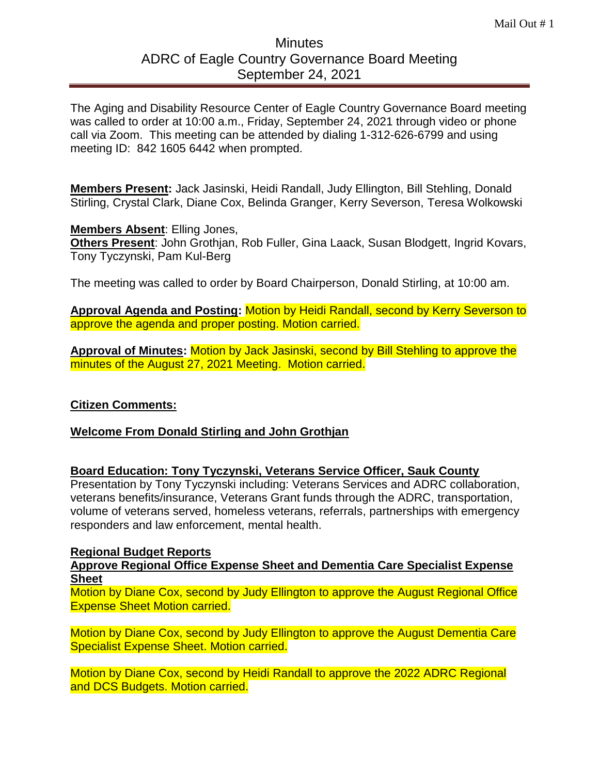# **Minutes** ADRC of Eagle Country Governance Board Meeting September 24, 2021

The Aging and Disability Resource Center of Eagle Country Governance Board meeting was called to order at 10:00 a.m., Friday, September 24, 2021 through video or phone call via Zoom. This meeting can be attended by dialing 1-312-626-6799 and using meeting ID: 842 1605 6442 when prompted.

**Members Present:** Jack Jasinski, Heidi Randall, Judy Ellington, Bill Stehling, Donald Stirling, Crystal Clark, Diane Cox, Belinda Granger, Kerry Severson, Teresa Wolkowski

## **Members Absent**: Elling Jones,

**Others Present**: John Grothjan, Rob Fuller, Gina Laack, Susan Blodgett, Ingrid Kovars, Tony Tyczynski, Pam Kul-Berg

The meeting was called to order by Board Chairperson, Donald Stirling, at 10:00 am.

**Approval Agenda and Posting:** Motion by Heidi Randall, second by Kerry Severson to approve the agenda and proper posting. Motion carried.

**Approval of Minutes:** Motion by Jack Jasinski, second by Bill Stehling to approve the minutes of the August 27, 2021 Meeting. Motion carried.

## **Citizen Comments:**

**Welcome From Donald Stirling and John Grothjan**

## **Board Education: Tony Tyczynski, Veterans Service Officer, Sauk County**

Presentation by Tony Tyczynski including: Veterans Services and ADRC collaboration, veterans benefits/insurance, Veterans Grant funds through the ADRC, transportation, volume of veterans served, homeless veterans, referrals, partnerships with emergency responders and law enforcement, mental health.

#### **Regional Budget Reports**

**Approve Regional Office Expense Sheet and Dementia Care Specialist Expense Sheet**

Motion by Diane Cox, second by Judy Ellington to approve the August Regional Office Expense Sheet Motion carried.

Motion by Diane Cox, second by Judy Ellington to approve the August Dementia Care Specialist Expense Sheet. Motion carried.

Motion by Diane Cox, second by Heidi Randall to approve the 2022 ADRC Regional and DCS Budgets. Motion carried.